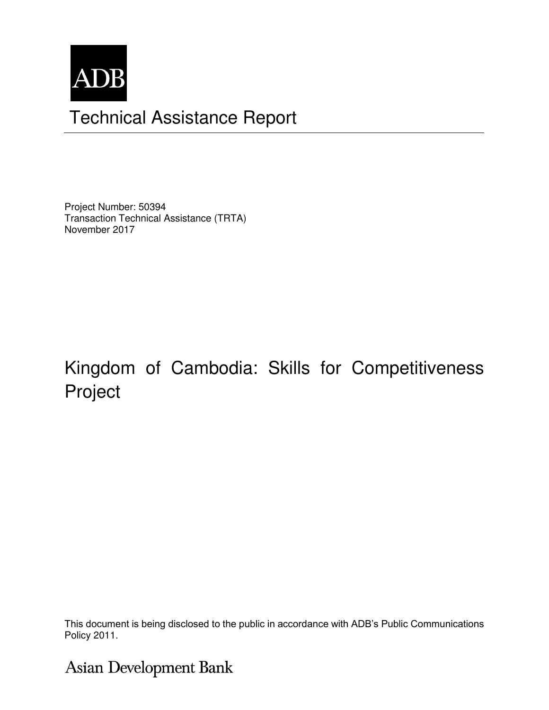

## Technical Assistance Report

Project Number: 50394 Transaction Technical Assistance (TRTA) November 2017

# Kingdom of Cambodia: Skills for Competitiveness Project

This document is being disclosed to the public in accordance with ADB's Public Communications Policy 2011.

## **Asian Development Bank**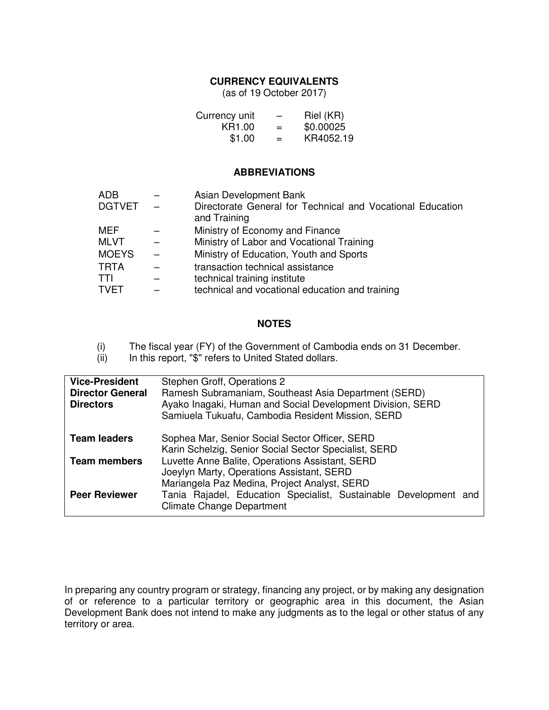#### **CURRENCY EQUIVALENTS**

(as of 19 October 2017)

| Currency unit | -   | Riel (KR) |
|---------------|-----|-----------|
| KR1.00        | $=$ | \$0.00025 |
| \$1.00        | $=$ | KR4052.19 |

#### **ABBREVIATIONS**

| <b>ADB</b>    | Asian Development Bank                                                     |
|---------------|----------------------------------------------------------------------------|
| <b>DGTVET</b> | Directorate General for Technical and Vocational Education<br>and Training |
| MEF           | Ministry of Economy and Finance                                            |
| <b>MLVT</b>   | Ministry of Labor and Vocational Training                                  |
| <b>MOEYS</b>  | Ministry of Education, Youth and Sports                                    |
| <b>TRTA</b>   | transaction technical assistance                                           |
| <b>TTI</b>    | technical training institute                                               |
| <b>TVET</b>   | technical and vocational education and training                            |

#### **NOTES**

(i) The fiscal year (FY) of the Government of Cambodia ends on 31 December.<br>(ii) In this report, "\$" refers to United Stated dollars.

In this report, "\$" refers to United Stated dollars.

| <b>Vice-President</b>   | Stephen Groff, Operations 2                                                                             |  |
|-------------------------|---------------------------------------------------------------------------------------------------------|--|
| <b>Director General</b> | Ramesh Subramaniam, Southeast Asia Department (SERD)                                                    |  |
| <b>Directors</b>        | Ayako Inagaki, Human and Social Development Division, SERD                                              |  |
|                         | Samiuela Tukuafu, Cambodia Resident Mission, SERD                                                       |  |
| <b>Team leaders</b>     | Sophea Mar, Senior Social Sector Officer, SERD<br>Karin Schelzig, Senior Social Sector Specialist, SERD |  |
| <b>Team members</b>     | Luvette Anne Balite, Operations Assistant, SERD                                                         |  |
|                         | Joeylyn Marty, Operations Assistant, SERD                                                               |  |
|                         | Mariangela Paz Medina, Project Analyst, SERD                                                            |  |
| <b>Peer Reviewer</b>    | Tania Rajadel, Education Specialist, Sustainable Development and<br><b>Climate Change Department</b>    |  |

In preparing any country program or strategy, financing any project, or by making any designation of or reference to a particular territory or geographic area in this document, the Asian Development Bank does not intend to make any judgments as to the legal or other status of any territory or area.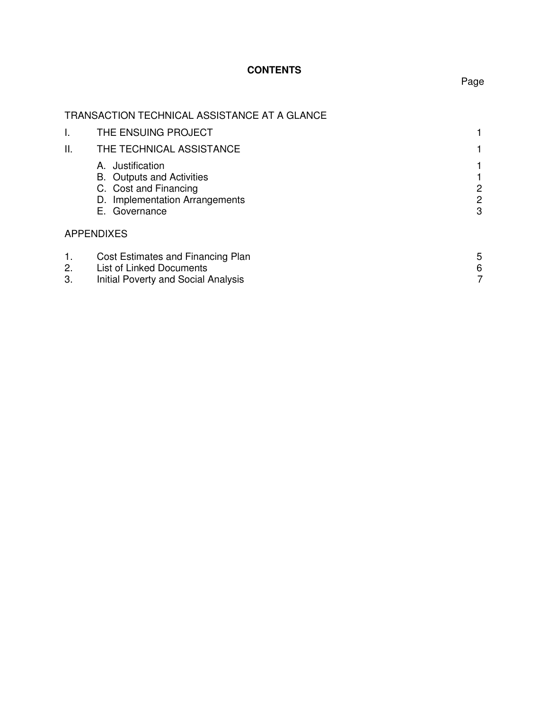## **CONTENTS**

## TRANSACTION TECHNICAL ASSISTANCE AT A GLANCE

|                | THE ENSUING PROJECT                                                                                                                 |             |
|----------------|-------------------------------------------------------------------------------------------------------------------------------------|-------------|
| ΙΙ.            | THE TECHNICAL ASSISTANCE                                                                                                            |             |
|                | Justification<br>А.<br><b>B.</b> Outputs and Activities<br>C. Cost and Financing<br>D. Implementation Arrangements<br>E. Governance | 2<br>2<br>3 |
|                | <b>APPENDIXES</b>                                                                                                                   |             |
| 1.<br>2.<br>3. | Cost Estimates and Financing Plan<br>List of Linked Documents<br>Initial Poverty and Social Analysis                                | 5<br>6      |

Page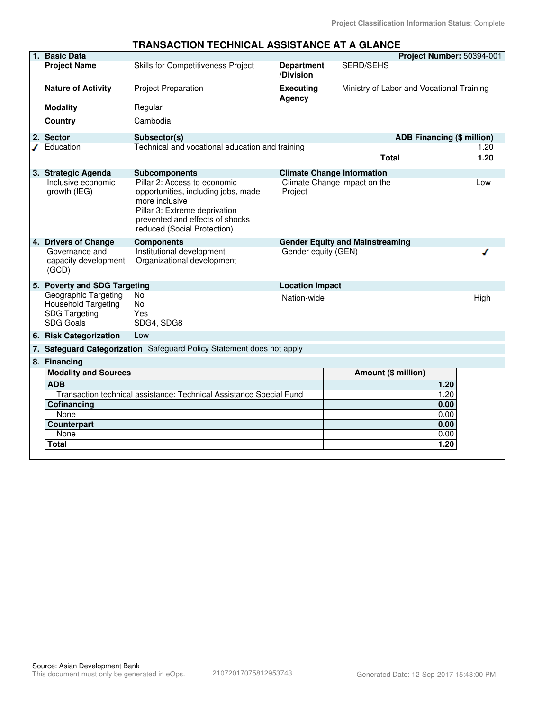#### **TRANSACTION TECHNICAL ASSISTANCE AT A GLANCE**

| 1. Basic Data                                                                           |                                                                                                                                                                                                                  |                                   |                                                                   | Project Number: 50394-001         |
|-----------------------------------------------------------------------------------------|------------------------------------------------------------------------------------------------------------------------------------------------------------------------------------------------------------------|-----------------------------------|-------------------------------------------------------------------|-----------------------------------|
| <b>Project Name</b>                                                                     | Skills for Competitiveness Project                                                                                                                                                                               | <b>Department</b><br>/Division    | <b>SERD/SEHS</b>                                                  |                                   |
| <b>Nature of Activity</b>                                                               | <b>Project Preparation</b>                                                                                                                                                                                       | <b>Executing</b><br><b>Agency</b> | Ministry of Labor and Vocational Training                         |                                   |
| <b>Modality</b>                                                                         | Regular                                                                                                                                                                                                          |                                   |                                                                   |                                   |
| Country                                                                                 | Cambodia                                                                                                                                                                                                         |                                   |                                                                   |                                   |
| 2. Sector                                                                               | Subsector(s)                                                                                                                                                                                                     |                                   |                                                                   | <b>ADB Financing (\$ million)</b> |
| $J$ Education                                                                           | Technical and vocational education and training                                                                                                                                                                  |                                   | <b>Total</b>                                                      | 1.20<br>1.20                      |
| 3. Strategic Agenda<br>Inclusive economic<br>growth (IEG)                               | <b>Subcomponents</b><br>Pillar 2: Access to economic<br>opportunities, including jobs, made<br>more inclusive<br>Pillar 3: Extreme deprivation<br>prevented and effects of shocks<br>reduced (Social Protection) | Project                           | <b>Climate Change Information</b><br>Climate Change impact on the | Low                               |
| 4. Drivers of Change<br>Governance and<br>capacity development<br>(GCD)                 | <b>Components</b><br>Institutional development<br>Organizational development                                                                                                                                     | Gender equity (GEN)               | <b>Gender Equity and Mainstreaming</b>                            |                                   |
| 5. Poverty and SDG Targeting                                                            |                                                                                                                                                                                                                  | <b>Location Impact</b>            |                                                                   |                                   |
| Geographic Targeting<br>Household Targeting<br><b>SDG Targeting</b><br><b>SDG Goals</b> | No<br>No<br>Yes<br>SDG4, SDG8                                                                                                                                                                                    | Nation-wide                       |                                                                   | High                              |
| 6. Risk Categorization                                                                  | Low                                                                                                                                                                                                              |                                   |                                                                   |                                   |
|                                                                                         | 7. Safeguard Categorization Safeguard Policy Statement does not apply                                                                                                                                            |                                   |                                                                   |                                   |
| 8. Financing                                                                            |                                                                                                                                                                                                                  |                                   |                                                                   |                                   |
| <b>Modality and Sources</b>                                                             |                                                                                                                                                                                                                  |                                   | Amount (\$ million)                                               |                                   |
| <b>ADB</b>                                                                              |                                                                                                                                                                                                                  |                                   |                                                                   | 1.20                              |
|                                                                                         | Transaction technical assistance: Technical Assistance Special Fund                                                                                                                                              |                                   |                                                                   | 1.20                              |
| <b>Cofinancing</b>                                                                      |                                                                                                                                                                                                                  |                                   |                                                                   | 0.00                              |
| None                                                                                    |                                                                                                                                                                                                                  |                                   |                                                                   | 0.00                              |
| <b>Counterpart</b>                                                                      |                                                                                                                                                                                                                  |                                   |                                                                   | 0.00                              |
| None                                                                                    |                                                                                                                                                                                                                  |                                   |                                                                   | 0.00                              |
| Total                                                                                   |                                                                                                                                                                                                                  |                                   |                                                                   | 1.20                              |
|                                                                                         |                                                                                                                                                                                                                  |                                   |                                                                   |                                   |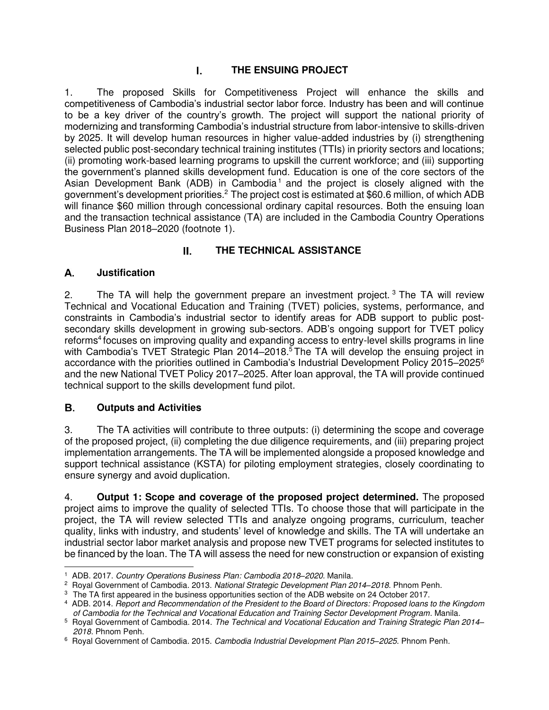## **THE ENSUING PROJECT**

1. The proposed Skills for Competitiveness Project will enhance the skills and competitiveness of Cambodia's industrial sector labor force. Industry has been and will continue to be a key driver of the country's growth. The project will support the national priority of modernizing and transforming Cambodia's industrial structure from labor-intensive to skills-driven by 2025. It will develop human resources in higher value-added industries by (i) strengthening selected public post-secondary technical training institutes (TTIs) in priority sectors and locations; (ii) promoting work-based learning programs to upskill the current workforce; and (iii) supporting the government's planned skills development fund. Education is one of the core sectors of the Asian Development Bank (ADB) in Cambodia<sup>1</sup> and the project is closely aligned with the government's development priorities.<sup>2</sup> The project cost is estimated at \$60.6 million, of which ADB will finance \$60 million through concessional ordinary capital resources. Both the ensuing loan and the transaction technical assistance (TA) are included in the Cambodia Country Operations Business Plan 2018–2020 (footnote 1).

## **THE TECHNICAL ASSISTANCE**

### **Justification**

2. The TA will help the government prepare an investment project.<sup>3</sup> The TA will review Technical and Vocational Education and Training (TVET) policies, systems, performance, and constraints in Cambodia's industrial sector to identify areas for ADB support to public postsecondary skills development in growing sub-sectors. ADB's ongoing support for TVET policy reforms<sup>4</sup> focuses on improving quality and expanding access to entry-level skills programs in line with Cambodia's TVET Strategic Plan 2014–2018.<sup>5</sup> The TA will develop the ensuing project in accordance with the priorities outlined in Cambodia's Industrial Development Policy 2015–2025<sup>6</sup> and the new National TVET Policy 2017–2025. After loan approval, the TA will provide continued technical support to the skills development fund pilot.

### **Outputs and Activities**

3. The TA activities will contribute to three outputs: (i) determining the scope and coverage of the proposed project, (ii) completing the due diligence requirements, and (iii) preparing project implementation arrangements. The TA will be implemented alongside a proposed knowledge and support technical assistance (KSTA) for piloting employment strategies, closely coordinating to ensure synergy and avoid duplication.

4. **Output 1: Scope and coverage of the proposed project determined.** The proposed project aims to improve the quality of selected TTIs. To choose those that will participate in the project, the TA will review selected TTIs and analyze ongoing programs, curriculum, teacher quality, links with industry, and students' level of knowledge and skills. The TA will undertake an industrial sector labor market analysis and propose new TVET programs for selected institutes to be financed by the loan. The TA will assess the need for new construction or expansion of existing

 1 ADB. 2017. *Country Operations Business Plan: Cambodia 2018–2020*. Manila.

<sup>2</sup> Royal Government of Cambodia. 2013. *National Strategic Development Plan 2014–2018*. Phnom Penh.

<sup>&</sup>lt;sup>3</sup> The TA first appeared in the business opportunities section of the ADB website on 24 October 2017.

<sup>4</sup> ADB. 2014. *Report and Recommendation of the President to the Board of Directors: Proposed loans to the Kingdom of Cambodia for the Technical and Vocational Education and Training Sector Development Program*. Manila.

<sup>5</sup> Royal Government of Cambodia. 2014. *The Technical and Vocational Education and Training Strategic Plan 2014– 2018.* Phnom Penh.

<sup>6</sup> Royal Government of Cambodia. 2015. *Cambodia Industrial Development Plan 2015–2025*. Phnom Penh.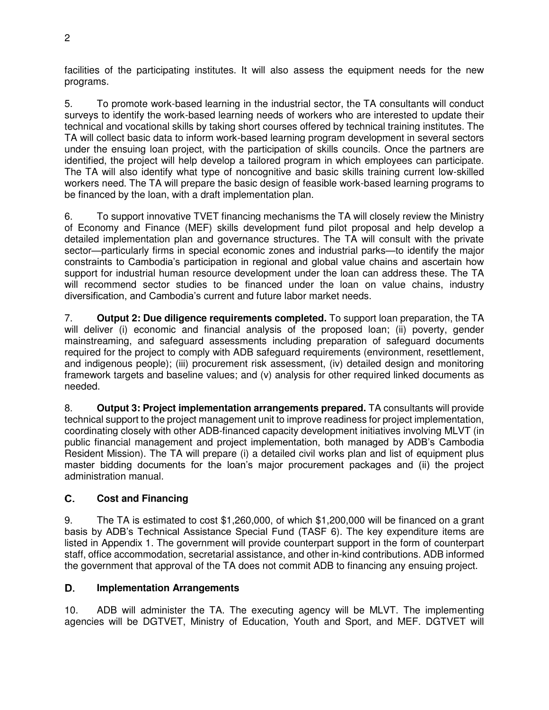facilities of the participating institutes. It will also assess the equipment needs for the new programs.

5. To promote work-based learning in the industrial sector, the TA consultants will conduct surveys to identify the work-based learning needs of workers who are interested to update their technical and vocational skills by taking short courses offered by technical training institutes. The TA will collect basic data to inform work-based learning program development in several sectors under the ensuing loan project, with the participation of skills councils. Once the partners are identified, the project will help develop a tailored program in which employees can participate. The TA will also identify what type of noncognitive and basic skills training current low-skilled workers need. The TA will prepare the basic design of feasible work-based learning programs to be financed by the loan, with a draft implementation plan.

6. To support innovative TVET financing mechanisms the TA will closely review the Ministry of Economy and Finance (MEF) skills development fund pilot proposal and help develop a detailed implementation plan and governance structures. The TA will consult with the private sector—particularly firms in special economic zones and industrial parks—to identify the major constraints to Cambodia's participation in regional and global value chains and ascertain how support for industrial human resource development under the loan can address these. The TA will recommend sector studies to be financed under the loan on value chains, industry diversification, and Cambodia's current and future labor market needs.

7. **Output 2: Due diligence requirements completed.** To support loan preparation, the TA will deliver (i) economic and financial analysis of the proposed loan; (ii) poverty, gender mainstreaming, and safeguard assessments including preparation of safeguard documents required for the project to comply with ADB safeguard requirements (environment, resettlement, and indigenous people); (iii) procurement risk assessment, (iv) detailed design and monitoring framework targets and baseline values; and (v) analysis for other required linked documents as needed.

8. **Output 3: Project implementation arrangements prepared.** TA consultants will provide technical support to the project management unit to improve readiness for project implementation, coordinating closely with other ADB-financed capacity development initiatives involving MLVT (in public financial management and project implementation, both managed by ADB's Cambodia Resident Mission). The TA will prepare (i) a detailed civil works plan and list of equipment plus master bidding documents for the loan's major procurement packages and (ii) the project administration manual.

### **Cost and Financing**

9. The TA is estimated to cost \$1,260,000, of which \$1,200,000 will be financed on a grant basis by ADB's Technical Assistance Special Fund (TASF 6). The key expenditure items are listed in Appendix 1. The government will provide counterpart support in the form of counterpart staff, office accommodation, secretarial assistance, and other in-kind contributions. ADB informed the government that approval of the TA does not commit ADB to financing any ensuing project.

### **Implementation Arrangements**

10. ADB will administer the TA. The executing agency will be MLVT. The implementing agencies will be DGTVET, Ministry of Education, Youth and Sport, and MEF. DGTVET will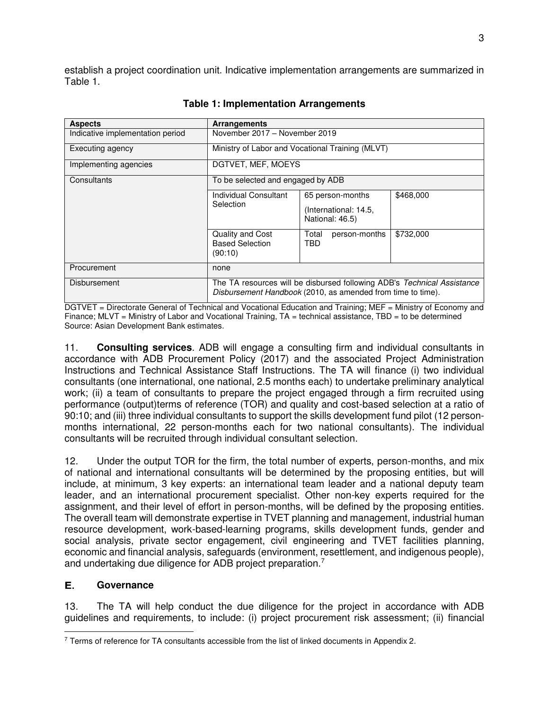establish a project coordination unit. Indicative implementation arrangements are summarized in Table 1.

| <b>Aspects</b>                   | <b>Arrangements</b>                                                                                                                    |                                                              |           |
|----------------------------------|----------------------------------------------------------------------------------------------------------------------------------------|--------------------------------------------------------------|-----------|
| Indicative implementation period | November 2017 - November 2019                                                                                                          |                                                              |           |
| Executing agency                 | Ministry of Labor and Vocational Training (MLVT)                                                                                       |                                                              |           |
| Implementing agencies            | DGTVET, MEF, MOEYS                                                                                                                     |                                                              |           |
| Consultants                      | To be selected and engaged by ADB                                                                                                      |                                                              |           |
|                                  | Individual Consultant<br>Selection                                                                                                     | 65 person-months<br>(International: 14.5,<br>National: 46.5) | \$468,000 |
|                                  | Quality and Cost<br><b>Based Selection</b><br>(90:10)                                                                                  | Total<br>person-months<br>TBD                                | \$732,000 |
| Procurement                      | none                                                                                                                                   |                                                              |           |
| Disbursement                     | The TA resources will be disbursed following ADB's Technical Assistance<br>Disbursement Handbook (2010, as amended from time to time). |                                                              |           |

#### **Table 1: Implementation Arrangements**

DGTVET = Directorate General of Technical and Vocational Education and Training; MEF = Ministry of Economy and Finance; MLVT = Ministry of Labor and Vocational Training,  $TA =$  technical assistance,  $TBD =$  to be determined Source: Asian Development Bank estimates.

11. **Consulting services**. ADB will engage a consulting firm and individual consultants in accordance with ADB Procurement Policy (2017) and the associated Project Administration Instructions and Technical Assistance Staff Instructions. The TA will finance (i) two individual consultants (one international, one national, 2.5 months each) to undertake preliminary analytical work; (ii) a team of consultants to prepare the project engaged through a firm recruited using performance (output)terms of reference (TOR) and quality and cost-based selection at a ratio of 90:10; and (iii) three individual consultants to support the skills development fund pilot (12 personmonths international, 22 person-months each for two national consultants). The individual consultants will be recruited through individual consultant selection.

12. Under the output TOR for the firm, the total number of experts, person-months, and mix of national and international consultants will be determined by the proposing entities, but will include, at minimum, 3 key experts: an international team leader and a national deputy team leader, and an international procurement specialist. Other non-key experts required for the assignment, and their level of effort in person-months, will be defined by the proposing entities. The overall team will demonstrate expertise in TVET planning and management, industrial human resource development, work-based-learning programs, skills development funds, gender and social analysis, private sector engagement, civil engineering and TVET facilities planning, economic and financial analysis, safeguards (environment, resettlement, and indigenous people), and undertaking due diligence for ADB project preparation.<sup>7</sup>

### **Governance**

13. The TA will help conduct the due diligence for the project in accordance with ADB guidelines and requirements, to include: (i) project procurement risk assessment; (ii) financial

 $\overline{a}$ <sup>7</sup> Terms of reference for TA consultants accessible from the list of linked documents in Appendix 2.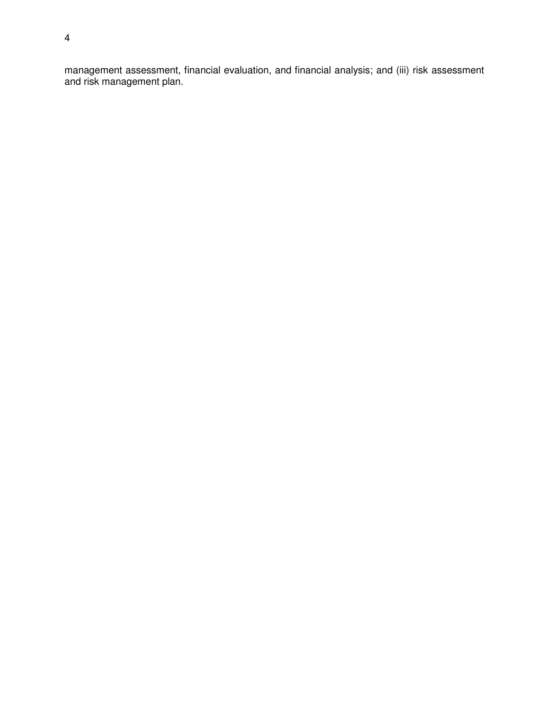management assessment, financial evaluation, and financial analysis; and (iii) risk assessment and risk management plan.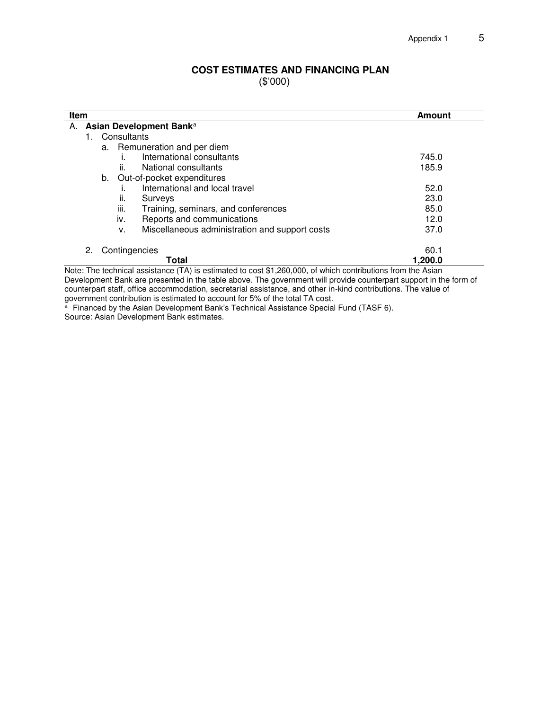#### **COST ESTIMATES AND FINANCING PLAN**  (\$'000)

| Item<br>Amount                                       |         |  |  |
|------------------------------------------------------|---------|--|--|
| A. Asian Development Banka                           |         |  |  |
| Consultants<br>1.                                    |         |  |  |
| a. Remuneration and per diem                         |         |  |  |
| International consultants                            | 745.0   |  |  |
| National consultants<br>ii.                          | 185.9   |  |  |
| b. Out-of-pocket expenditures                        |         |  |  |
| International and local travel                       | 52.0    |  |  |
| ii.<br>Surveys                                       | 23.0    |  |  |
| iii.<br>Training, seminars, and conferences          | 85.0    |  |  |
| iv.<br>Reports and communications                    | 12.0    |  |  |
| Miscellaneous administration and support costs<br>v. | 37.0    |  |  |
| Contingencies<br>2.                                  | 60.1    |  |  |
| Total                                                | 1,200.0 |  |  |

Note: The technical assistance (TA) is estimated to cost \$1,260,000, of which contributions from the Asian Development Bank are presented in the table above. The government will provide counterpart support in the form of counterpart staff, office accommodation, secretarial assistance, and other in-kind contributions. The value of government contribution is estimated to account for 5% of the total TA cost.

<sup>a</sup> Financed by the Asian Development Bank's Technical Assistance Special Fund (TASF 6). Source: Asian Development Bank estimates.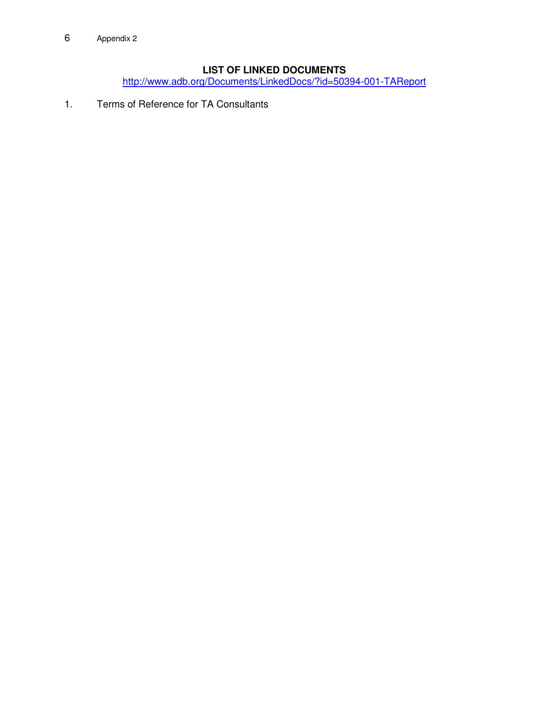## **LIST OF LINKED DOCUMENTS**

<http://www.adb.org/Documents/LinkedDocs/?id=50394-001-TAReport>

1. Terms of Reference for TA Consultants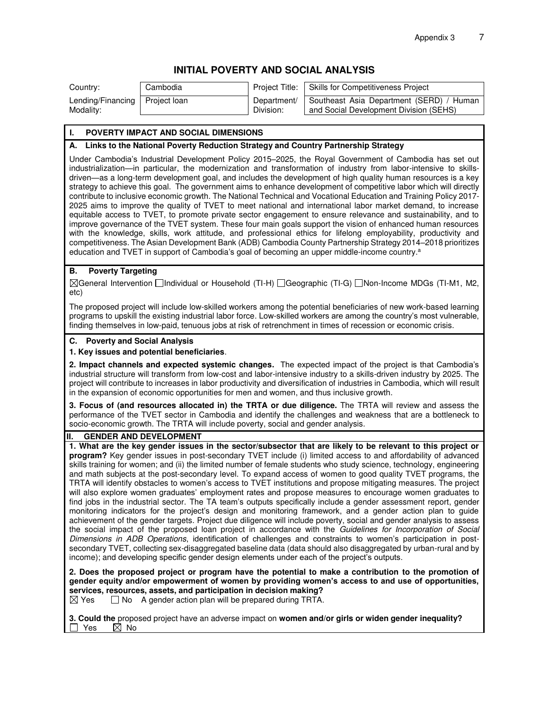#### **INITIAL POVERTY AND SOCIAL ANALYSIS**

Modality:

Lending/Financing

Project loan Department/ Division:

Country: Cambodia **Project Title:** Skills for Competitiveness Project

Southeast Asia Department (SERD) / Human and Social Development Division (SEHS)

#### **I. POVERTY IMPACT AND SOCIAL DIMENSIONS**

#### **A. Links to the National Poverty Reduction Strategy and Country Partnership Strategy**

Under Cambodia's Industrial Development Policy 2015–2025, the Royal Government of Cambodia has set out industrialization—in particular, the modernization and transformation of industry from labor-intensive to skillsdriven—as a long-term development goal, and includes the development of high quality human resources is a key strategy to achieve this goal. The government aims to enhance development of competitive labor which will directly contribute to inclusive economic growth. The National Technical and Vocational Education and Training Policy 2017- 2025 aims to improve the quality of TVET to meet national and international labor market demand, to increase equitable access to TVET, to promote private sector engagement to ensure relevance and sustainability, and to improve governance of the TVET system. These four main goals support the vision of enhanced human resources with the knowledge, skills, work attitude, and professional ethics for lifelong employability, productivity and competitiveness. The Asian Development Bank (ADB) Cambodia County Partnership Strategy 2014–2018 prioritizes education and TVET in support of Cambodia's goal of becoming an upper middle-income country.<sup>a</sup>

#### **B. Poverty Targeting**

General Intervention Individual or Household (TI-H) Geographic (TI-G) Non-Income MDGs (TI-M1, M2, etc)

The proposed project will include low-skilled workers among the potential beneficiaries of new work-based learning programs to upskill the existing industrial labor force. Low-skilled workers are among the country's most vulnerable, finding themselves in low-paid, tenuous jobs at risk of retrenchment in times of recession or economic crisis.

#### **C. Poverty and Social Analysis**

#### **1. Key issues and potential beneficiaries**.

**2. Impact channels and expected systemic changes.** The expected impact of the project is that Cambodia's industrial structure will transform from low-cost and labor-intensive industry to a skills-driven industry by 2025. The project will contribute to increases in labor productivity and diversification of industries in Cambodia, which will result in the expansion of economic opportunities for men and women, and thus inclusive growth.

**3. Focus of (and resources allocated in) the TRTA or due diligence.** The TRTA will review and assess the performance of the TVET sector in Cambodia and identify the challenges and weakness that are a bottleneck to socio-economic growth. The TRTA will include poverty, social and gender analysis.

#### **II. GENDER AND DEVELOPMENT**

**1. What are the key gender issues in the sector/subsector that are likely to be relevant to this project or program?** Key gender issues in post-secondary TVET include (i) limited access to and affordability of advanced skills training for women; and (ii) the limited number of female students who study science, technology, engineering and math subjects at the post-secondary level. To expand access of women to good quality TVET programs, the TRTA will identify obstacles to women's access to TVET institutions and propose mitigating measures. The project will also explore women graduates' employment rates and propose measures to encourage women graduates to find jobs in the industrial sector. The TA team's outputs specifically include a gender assessment report, gender monitoring indicators for the project's design and monitoring framework, and a gender action plan to guide achievement of the gender targets. Project due diligence will include poverty, social and gender analysis to assess the social impact of the proposed loan project in accordance with the Guidelines for Incorporation of Social Dimensions in ADB Operations, identification of challenges and constraints to women's participation in postsecondary TVET, collecting sex-disaggregated baseline data (data should also disaggregated by urban-rural and by income); and developing specific gender design elements under each of the project's outputs.

**2. Does the proposed project or program have the potential to make a contribution to the promotion of gender equity and/or empowerment of women by providing women's access to and use of opportunities, services, resources, assets, and participation in decision making?**<br>**⊠ Yes** □ No A gender action plan will be prepared during TRTA.

 $\Box$  No A gender action plan will be prepared during TRTA.

**3. Could the** proposed project have an adverse impact on **women and/or girls or widen gender inequality?** Yes  $\overline{\boxtimes}$  No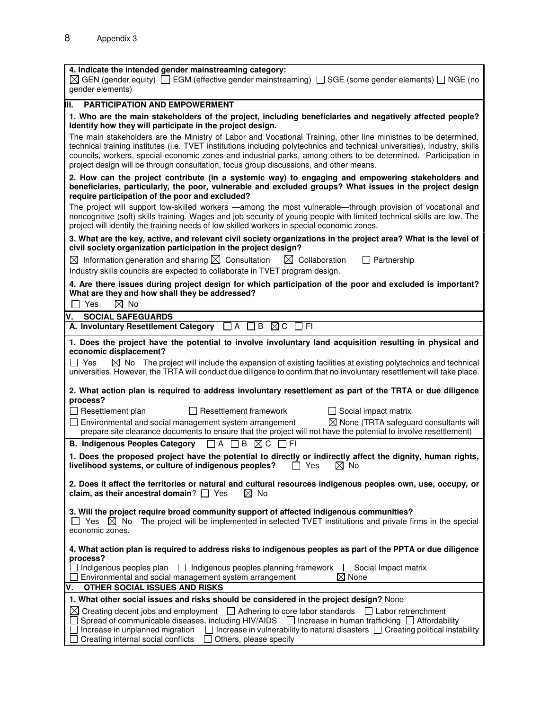| 4. Indicate the intended gender mainstreaming category:<br>$\boxtimes$ GEN (gender equity) $\Box$ EGM (effective gender mainstreaming) $\Box$ SGE (some gender elements) $\Box$ NGE (no<br>gender elements)                                                                                                                                                                                                                                                                                                                                                                                                                                                                                                                                                                                                                                                      |
|------------------------------------------------------------------------------------------------------------------------------------------------------------------------------------------------------------------------------------------------------------------------------------------------------------------------------------------------------------------------------------------------------------------------------------------------------------------------------------------------------------------------------------------------------------------------------------------------------------------------------------------------------------------------------------------------------------------------------------------------------------------------------------------------------------------------------------------------------------------|
| <b>PARTICIPATION AND EMPOWERMENT</b><br>Ш.                                                                                                                                                                                                                                                                                                                                                                                                                                                                                                                                                                                                                                                                                                                                                                                                                       |
| 1. Who are the main stakeholders of the project, including beneficiaries and negatively affected people?<br>Identify how they will participate in the project design.<br>The main stakeholders are the Ministry of Labor and Vocational Training, other line ministries to be determined,<br>technical training institutes (i.e. TVET institutions including polytechnics and technical universities), industry, skills<br>councils, workers, special economic zones and industrial parks, among others to be determined. Participation in<br>project design will be through consultation, focus group discussions, and other means.                                                                                                                                                                                                                             |
| 2. How can the project contribute (in a systemic way) to engaging and empowering stakeholders and<br>beneficiaries, particularly, the poor, vulnerable and excluded groups? What issues in the project design<br>require participation of the poor and excluded?<br>The project will support low-skilled workers - among the most vulnerable-through provision of vocational and<br>noncognitive (soft) skills training. Wages and job security of young people with limited technical skills are low. The<br>project will identify the training needs of low skilled workers in special economic zones.                                                                                                                                                                                                                                                         |
| 3. What are the key, active, and relevant civil society organizations in the project area? What is the level of<br>civil society organization participation in the project design?<br>$\boxtimes$ Information generation and sharing $\boxtimes$ Consultation<br>$\boxtimes$ Collaboration<br>Partnership<br>Industry skills councils are expected to collaborate in TVET program design.                                                                                                                                                                                                                                                                                                                                                                                                                                                                        |
| 4. Are there issues during project design for which participation of the poor and excluded is important?<br>What are they and how shall they be addressed?<br>$\Box$ Yes<br>$\boxtimes$ No                                                                                                                                                                                                                                                                                                                                                                                                                                                                                                                                                                                                                                                                       |
| <b>SOCIAL SAFEGUARDS</b><br>V.                                                                                                                                                                                                                                                                                                                                                                                                                                                                                                                                                                                                                                                                                                                                                                                                                                   |
| A. Involuntary Resettlement Category □ A □ B ⊠ C<br>$\Box$ FI                                                                                                                                                                                                                                                                                                                                                                                                                                                                                                                                                                                                                                                                                                                                                                                                    |
| 1. Does the project have the potential to involve involuntary land acquisition resulting in physical and<br>economic displacement?<br>$\Box$ Yes<br>$\boxtimes$ No The project will include the expansion of existing facilities at existing polytechnics and technical<br>universities. However, the TRTA will conduct due diligence to confirm that no involuntary resettlement will take place.<br>2. What action plan is required to address involuntary resettlement as part of the TRTA or due diligence<br>process?<br>$\Box$ Resettlement plan<br>$\Box$ Resettlement framework<br>$\Box$ Social impact matrix<br>$\boxtimes$ None (TRTA safeguard consultants will<br>$\Box$ Environmental and social management system arrangement<br>prepare site clearance documents to ensure that the project will not have the potential to involve resettlement) |
| <b>B. Indigenous Peoples Category</b><br>$\Box$ a $\Box$ b $\boxtimes$ c $\Box$ fi                                                                                                                                                                                                                                                                                                                                                                                                                                                                                                                                                                                                                                                                                                                                                                               |
| 1. Does the proposed project have the potential to directly or indirectly affect the dignity, human rights,<br>livelihood systems, or culture of indigenous peoples? $\Box$ Yes<br>$\boxtimes$ No                                                                                                                                                                                                                                                                                                                                                                                                                                                                                                                                                                                                                                                                |
| 2. Does it affect the territories or natural and cultural resources indigenous peoples own, use, occupy, or<br>$\boxtimes$ No<br>claim, as their ancestral domain? $\Box$ Yes                                                                                                                                                                                                                                                                                                                                                                                                                                                                                                                                                                                                                                                                                    |
| 3. Will the project require broad community support of affected indigenous communities?<br>The project will be implemented in selected TVET institutions and private firms in the special<br>$\Box$ Yes $\boxtimes$ No<br>economic zones.                                                                                                                                                                                                                                                                                                                                                                                                                                                                                                                                                                                                                        |
| 4. What action plan is required to address risks to indigenous peoples as part of the PPTA or due diligence<br>process?<br>  Indigenous peoples plan   D Indigenous peoples planning framework   D Social Impact matrix                                                                                                                                                                                                                                                                                                                                                                                                                                                                                                                                                                                                                                          |
| $\boxtimes$ None<br>Environmental and social management system arrangement                                                                                                                                                                                                                                                                                                                                                                                                                                                                                                                                                                                                                                                                                                                                                                                       |
| OTHER SOCIAL ISSUES AND RISKS<br>V.                                                                                                                                                                                                                                                                                                                                                                                                                                                                                                                                                                                                                                                                                                                                                                                                                              |
| 1. What other social issues and risks should be considered in the project design? None<br>$\boxtimes$ Creating decent jobs and employment $\Box$ Adhering to core labor standards $\Box$ Labor retrenchment<br>Spread of communicable diseases, including HIV/AIDS $\Box$ Increase in human trafficking $\Box$ Affordability<br>$\Box$ Increase in vulnerability to natural disasters $\Box$ Creating political instability<br>Increase in unplanned migration<br>Creating internal social conflicts<br>Others, please specify                                                                                                                                                                                                                                                                                                                                   |